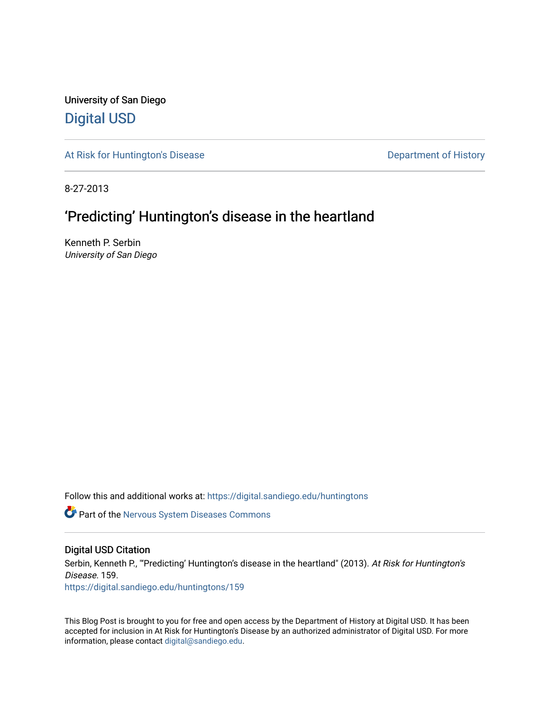University of San Diego [Digital USD](https://digital.sandiego.edu/)

[At Risk for Huntington's Disease](https://digital.sandiego.edu/huntingtons) **Department of History** Department of History

8-27-2013

# 'Predicting' Huntington's disease in the heartland

Kenneth P. Serbin University of San Diego

Follow this and additional works at: [https://digital.sandiego.edu/huntingtons](https://digital.sandiego.edu/huntingtons?utm_source=digital.sandiego.edu%2Fhuntingtons%2F159&utm_medium=PDF&utm_campaign=PDFCoverPages)

**C** Part of the [Nervous System Diseases Commons](http://network.bepress.com/hgg/discipline/928?utm_source=digital.sandiego.edu%2Fhuntingtons%2F159&utm_medium=PDF&utm_campaign=PDFCoverPages)

# Digital USD Citation

Serbin, Kenneth P., "'Predicting' Huntington's disease in the heartland" (2013). At Risk for Huntington's Disease. 159. [https://digital.sandiego.edu/huntingtons/159](https://digital.sandiego.edu/huntingtons/159?utm_source=digital.sandiego.edu%2Fhuntingtons%2F159&utm_medium=PDF&utm_campaign=PDFCoverPages)

This Blog Post is brought to you for free and open access by the Department of History at Digital USD. It has been accepted for inclusion in At Risk for Huntington's Disease by an authorized administrator of Digital USD. For more information, please contact [digital@sandiego.edu.](mailto:digital@sandiego.edu)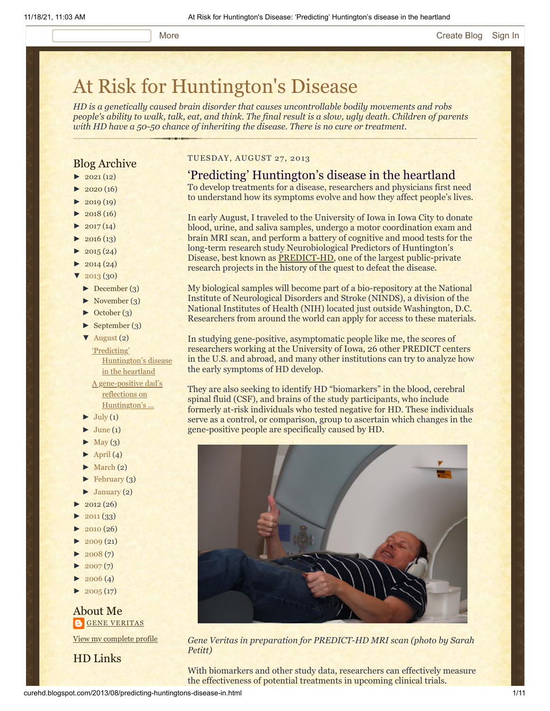# [At Risk for Huntington's Disease](http://curehd.blogspot.com/)

*HD is a genetically caused brain disorder that causes uncontrollable bodily movements and robs people's ability to walk, talk, eat, and think. The final result is a slow, ugly death. Children of parents with HD have a 50-50 chance of inheriting the disease. There is no cure or treatment.*

# Blog Archive

- $\blacktriangleright$  [2021](http://curehd.blogspot.com/2021/) (12)
- $2020(16)$  $2020(16)$
- $2019(19)$  $2019(19)$
- $2018(16)$  $2018(16)$
- $2017(14)$  $2017(14)$
- $2016(13)$  $2016(13)$
- $2015(24)$  $2015(24)$
- $2014(24)$  $2014(24)$
- $2013(30)$  $2013(30)$
- [►](javascript:void(0)) [December](http://curehd.blogspot.com/2013/12/) (3)
- [►](javascript:void(0)) [November](http://curehd.blogspot.com/2013/11/) (3)
- [►](javascript:void(0)) [October](http://curehd.blogspot.com/2013/10/) (3)
- [►](javascript:void(0)) [September](http://curehd.blogspot.com/2013/09/) (3)

[▼](javascript:void(0)) [August](http://curehd.blogspot.com/2013/08/) (2) 'Predicting' [Huntington's](http://curehd.blogspot.com/2013/08/predicting-huntingtons-disease-in.html) disease in the heartland A [gene-positive](http://curehd.blogspot.com/2013/08/a-gene-positive-dads-reflections-on.html) dad's

reflections on Huntington's ...

- $\blacktriangleright$  [July](http://curehd.blogspot.com/2013/07/) (1)
- $\blacktriangleright$  [June](http://curehd.blogspot.com/2013/06/) (1)
- $\blacktriangleright$  [May](http://curehd.blogspot.com/2013/05/)  $(3)$
- $\blacktriangleright$  [April](http://curehd.blogspot.com/2013/04/) (4)
- $\blacktriangleright$  [March](http://curehd.blogspot.com/2013/03/) (2)
- $\blacktriangleright$  [February](http://curehd.blogspot.com/2013/02/) (3)
- $\blacktriangleright$  [January](http://curehd.blogspot.com/2013/01/) (2)
- [►](javascript:void(0)) [2012](http://curehd.blogspot.com/2012/) (26)
- $2011(33)$  $2011(33)$
- $2010(26)$  $2010(26)$
- [►](javascript:void(0)) [2009](http://curehd.blogspot.com/2009/) (21)
- $2008(7)$  $2008(7)$
- $2007(7)$  $2007(7)$
- $\blacktriangleright$  [2006](http://curehd.blogspot.com/2006/) (4)
- $\blacktriangleright$  [2005](http://curehd.blogspot.com/2005/) (17)

# About Me **GENE [VERITAS](https://www.blogger.com/profile/10911736205741688185)**

View my [complete](https://www.blogger.com/profile/10911736205741688185) profile

HD Links

# TUESDAY, AUGUST 27, 2013

# 'Predicting' Huntington's disease in the heartland

To develop treatments for a disease, researchers and physicians first need to understand how its symptoms evolve and how they affect people's lives.

In early August, I traveled to the University of Iowa in Iowa City to donate blood, urine, and saliva samples, undergo a motor coordination exam and brain MRI scan, and perform a battery of cognitive and mood tests for the long-term research study Neurobiological Predictors of Huntington's Disease, best known as [PREDICT-HD,](https://www.predict-hd.net/) one of the largest public-private research projects in the history of the quest to defeat the disease.

My biological samples will become part of a bio-repository at the National Institute of Neurological Disorders and Stroke (NINDS), a division of the National Institutes of Health (NIH) located just outside Washington, D.C. Researchers from around the world can apply for access to these materials.

In studying gene-positive, asymptomatic people like me, the scores of researchers working at the University of Iowa, 26 other PREDICT centers in the U.S. and abroad, and many other institutions can try to analyze how the early symptoms of HD develop.

They are also seeking to identify HD "biomarkers" in the blood, cerebral spinal fluid (CSF), and brains of the study participants, who include formerly at-risk individuals who tested negative for HD. These individuals serve as a control, or comparison, group to ascertain which changes in the gene-positive people are specifically caused by HD.



*Gene Veritas in preparation for PREDICT-HD MRI scan (photo by Sarah Petitt)*

With biomarkers and other study data, researchers can effectively measure the effectiveness of potential treatments in upcoming clinical trials.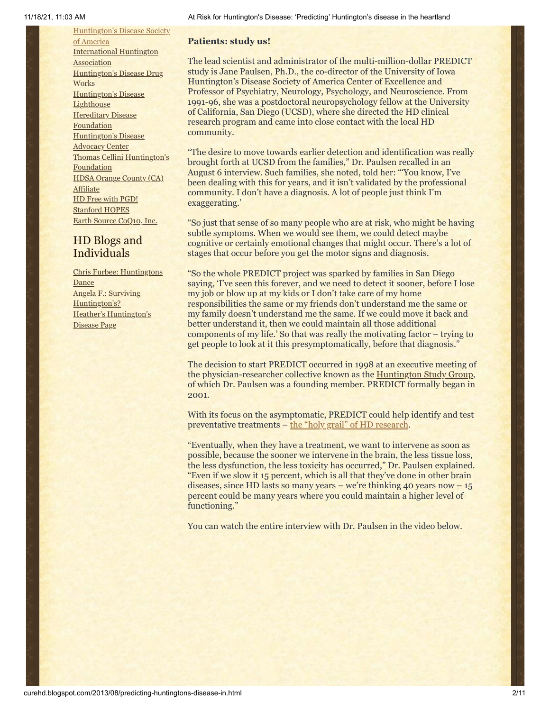[Huntington's](http://www.hdsa.org/) Disease Society of America [International](http://www.huntington-assoc.com/) Huntington **Association** [Huntington's](http://hddrugworks.org/) Disease Drug **Works** [Huntington's](http://www.hdlighthouse.org/) Disease **Lighthouse** [Hereditary](http://www.hdfoundation.org/) Disease Foundation [Huntington's](http://www.hdac.org/) Disease Advocacy Center Thomas [Cellini Huntington's](http://www.ourtchfoundation.org/) **Foundation** HDSA Orange County (CA) **[Affiliate](http://www.hdsaoc.org/)** HD Free with [PGD!](http://www.hdfreewithpgd.com/) [Stanford](http://www.stanford.edu/group/hopes/) HOPES Earth Source [CoQ10,](http://www.escoq10.com/) Inc.

# HD Blogs and Individuals

Chris Furbee: [Huntingtons](http://www.huntingtonsdance.org/) **Dance** Angela F.: Surviving [Huntington's?](http://survivinghuntingtons.blogspot.com/) Heather's [Huntington's](http://heatherdugdale.angelfire.com/) Disease Page

#### **Patients: study us!**

The lead scientist and administrator of the multi-million-dollar PREDICT study is Jane Paulsen, Ph.D., the co-director of the University of Iowa Huntington's Disease Society of America Center of Excellence and Professor of Psychiatry, Neurology, Psychology, and Neuroscience. From 1991-96, she was a postdoctoral neuropsychology fellow at the University of California, San Diego (UCSD), where she directed the HD clinical research program and came into close contact with the local HD community.

"The desire to move towards earlier detection and identification was really brought forth at UCSD from the families," Dr. Paulsen recalled in an August 6 interview. Such families, she noted, told her: "'You know, I've been dealing with this for years, and it isn't validated by the professional community. I don't have a diagnosis. A lot of people just think I'm exaggerating.'

"So just that sense of so many people who are at risk, who might be having subtle symptoms. When we would see them, we could detect maybe cognitive or certainly emotional changes that might occur. There's a lot of stages that occur before you get the motor signs and diagnosis.

"So the whole PREDICT project was sparked by families in San Diego saying, 'I've seen this forever, and we need to detect it sooner, before I lose my job or blow up at my kids or I don't take care of my home responsibilities the same or my friends don't understand me the same or my family doesn't understand me the same. If we could move it back and better understand it, then we could maintain all those additional components of my life.' So that was really the motivating factor – trying to get people to look at it this presymptomatically, before that diagnosis."

The decision to start PREDICT occurred in 1998 at an executive meeting of the physician-researcher collective known as the [Huntington Study Group,](http://www.huntington-study-group.org/) of which Dr. Paulsen was a founding member. PREDICT formally began in 2001.

With its focus on the asymptomatic, PREDICT could help identify and test preventative treatments – [the "holy grail" of HD research.](http://curehd.blogspot.com/2011/11/waiting-in-wings-gene-positive-and.html)

"Eventually, when they have a treatment, we want to intervene as soon as possible, because the sooner we intervene in the brain, the less tissue loss, the less dysfunction, the less toxicity has occurred," Dr. Paulsen explained. "Even if we slow it 15 percent, which is all that they've done in other brain diseases, since HD lasts so many years – we're thinking 40 years now  $-15$ percent could be many years where you could maintain a higher level of functioning."

You can watch the entire interview with Dr. Paulsen in the video below.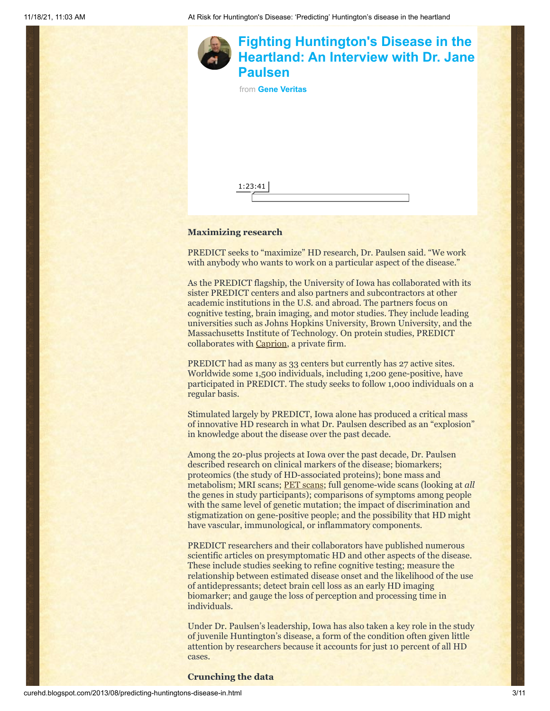

### **Maximizing research**

PREDICT seeks to "maximize" HD research, Dr. Paulsen said. "We work with anybody who wants to work on a particular aspect of the disease."

As the PREDICT flagship, the University of Iowa has collaborated with its sister PREDICT centers and also partners and subcontractors at other academic institutions in the U.S. and abroad. The partners focus on cognitive testing, brain imaging, and motor studies. They include leading universities such as Johns Hopkins University, Brown University, and the Massachusetts Institute of Technology. On protein studies, PREDICT collaborates with [Caprion](http://www.caprion.com/en/index.php), a private firm.

PREDICT had as many as 33 centers but currently has 27 active sites. Worldwide some 1,500 individuals, including 1,200 gene-positive, have participated in PREDICT. The study seeks to follow 1,000 individuals on a regular basis.

Stimulated largely by PREDICT, Iowa alone has produced a critical mass of innovative HD research in what Dr. Paulsen described as an "explosion" in knowledge about the disease over the past decade.

Among the 20-plus projects at Iowa over the past decade, Dr. Paulsen described research on clinical markers of the disease; biomarkers; proteomics (the study of HD-associated proteins); bone mass and metabolism; MRI scans; [PET scans](http://www.nlm.nih.gov/medlineplus/ency/article/003827.htm); full genome-wide scans (looking at *all* the genes in study participants); comparisons of symptoms among people with the same level of genetic mutation; the impact of discrimination and stigmatization on gene-positive people; and the possibility that HD might have vascular, immunological, or inflammatory components.

PREDICT researchers and their collaborators have published numerous scientific articles on presymptomatic HD and other aspects of the disease. These include studies seeking to refine cognitive testing; measure the relationship between estimated disease onset and the likelihood of the use of antidepressants; detect brain cell loss as an early HD imaging biomarker; and gauge the loss of perception and processing time in individuals.

Under Dr. Paulsen's leadership, Iowa has also taken a key role in the study of juvenile Huntington's disease, a form of the condition often given little attention by researchers because it accounts for just 10 percent of all HD cases.

**Crunching the data**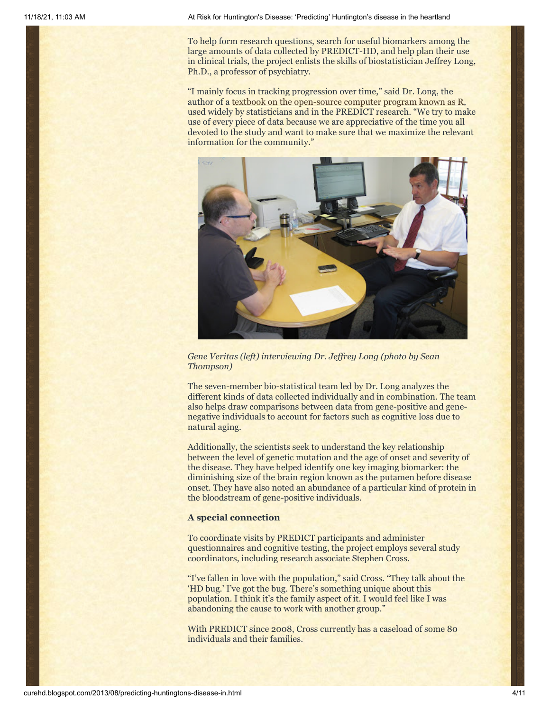To help form research questions, search for useful biomarkers among the large amounts of data collected by PREDICT-HD, and help plan their use in clinical trials, the project enlists the skills of biostatistician Jeffrey Long, Ph.D., a professor of psychiatry.

"I mainly focus in tracking progression over time," said Dr. Long, the author of a [textbook on the open-source computer program known as R](http://www.amazon.com/Longitudinal-Analysis-Behavioral-Sciences-Using/dp/1412982685/ref=sr_1_11?s=books&ie=UTF8&qid=1377560569&sr=1-11&keywords=jeffrey+long), used widely by statisticians and in the PREDICT research. "We try to make use of every piece of data because we are appreciative of the time you all devoted to the study and want to make sure that we maximize the relevant information for the community."



*Gene Veritas (left) interviewing Dr. Jeffrey Long (photo by Sean Thompson)*

The seven-member bio-statistical team led by Dr. Long analyzes the different kinds of data collected individually and in combination. The team also helps draw comparisons between data from gene-positive and genenegative individuals to account for factors such as cognitive loss due to natural aging.

Additionally, the scientists seek to understand the key relationship between the level of genetic mutation and the age of onset and severity of the disease. They have helped identify one key imaging biomarker: the diminishing size of the brain region known as the putamen before disease onset. They have also noted an abundance of a particular kind of protein in the bloodstream of gene-positive individuals.

## **A special connection**

To coordinate visits by PREDICT participants and administer questionnaires and cognitive testing, the project employs several study coordinators, including research associate Stephen Cross.

"I've fallen in love with the population," said Cross. "They talk about the 'HD bug.' I've got the bug. There's something unique about this population. I think it's the family aspect of it. I would feel like I was abandoning the cause to work with another group."

With PREDICT since 2008, Cross currently has a caseload of some 80 individuals and their families.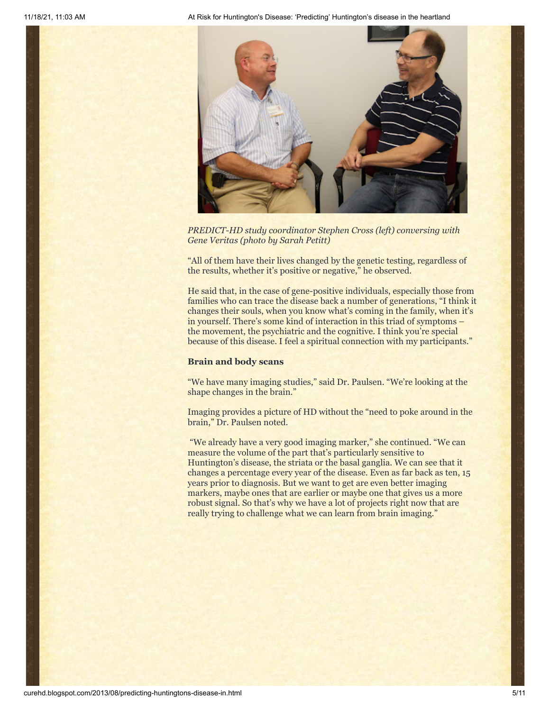

*PREDICT-HD study coordinator Stephen Cross (left) conversing with Gene Veritas (photo by Sarah Petitt)*

"All of them have their lives changed by the genetic testing, regardless of the results, whether it's positive or negative," he observed.

He said that, in the case of gene-positive individuals, especially those from families who can trace the disease back a number of generations, "I think it changes their souls, when you know what's coming in the family, when it's in yourself. There's some kind of interaction in this triad of symptoms – the movement, the psychiatric and the cognitive. I think you're special because of this disease. I feel a spiritual connection with my participants."

#### **Brain and body scans**

"We have many imaging studies," said Dr. Paulsen. "We're looking at the shape changes in the brain."

Imaging provides a picture of HD without the "need to poke around in the brain," Dr. Paulsen noted.

"We already have a very good imaging marker," she continued. "We can measure the volume of the part that's particularly sensitive to Huntington's disease, the striata or the basal ganglia. We can see that it changes a percentage every year of the disease. Even as far back as ten, 15 years prior to diagnosis. But we want to get are even better imaging markers, maybe ones that are earlier or maybe one that gives us a more robust signal. So that's why we have a lot of projects right now that are really trying to challenge what we can learn from brain imaging."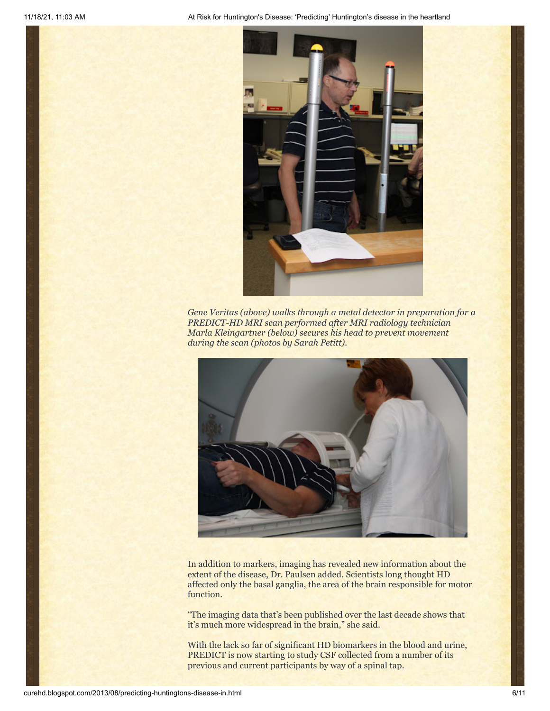

*Gene Veritas (above) walks through a metal detector in preparation for a PREDICT-HD MRI scan performed after MRI radiology technician Marla Kleingartner (below) secures his head to prevent movement during the scan (photos by Sarah Petitt).*



In addition to markers, imaging has revealed new information about the extent of the disease, Dr. Paulsen added. Scientists long thought HD affected only the basal ganglia, the area of the brain responsible for motor function.

"The imaging data that's been published over the last decade shows that it's much more widespread in the brain," she said.

With the lack so far of significant HD biomarkers in the blood and urine, PREDICT is now starting to study CSF collected from a number of its previous and current participants by way of a spinal tap.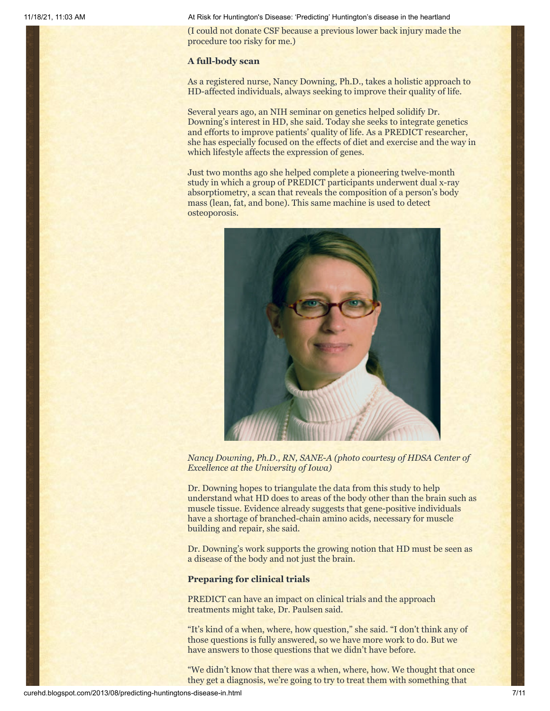(I could not donate CSF because a previous lower back injury made the procedure too risky for me.)

#### **A full-body scan**

As a registered nurse, Nancy Downing, Ph.D., takes a holistic approach to HD-affected individuals, always seeking to improve their quality of life.

Several years ago, an NIH seminar on genetics helped solidify Dr. Downing's interest in HD, she said. Today she seeks to integrate genetics and efforts to improve patients' quality of life. As a PREDICT researcher, she has especially focused on the effects of diet and exercise and the way in which lifestyle affects the expression of genes.

Just two months ago she helped complete a pioneering twelve-month study in which a group of PREDICT participants underwent dual x-ray absorptiometry, a scan that reveals the composition of a person's body mass (lean, fat, and bone). This same machine is used to detect osteoporosis.



*Nancy Downing, Ph.D., RN, SANE-A (photo courtesy of HDSA Center of Excellence at the University of Iowa)*

Dr. Downing hopes to triangulate the data from this study to help understand what HD does to areas of the body other than the brain such as muscle tissue. Evidence already suggests that gene-positive individuals have a shortage of branched-chain amino acids, necessary for muscle building and repair, she said.

Dr. Downing's work supports the growing notion that HD must be seen as a disease of the body and not just the brain.

### **Preparing for clinical trials**

PREDICT can have an impact on clinical trials and the approach treatments might take, Dr. Paulsen said.

"It's kind of a when, where, how question," she said. "I don't think any of those questions is fully answered, so we have more work to do. But we have answers to those questions that we didn't have before.

"We didn't know that there was a when, where, how. We thought that once they get a diagnosis, we're going to try to treat them with something that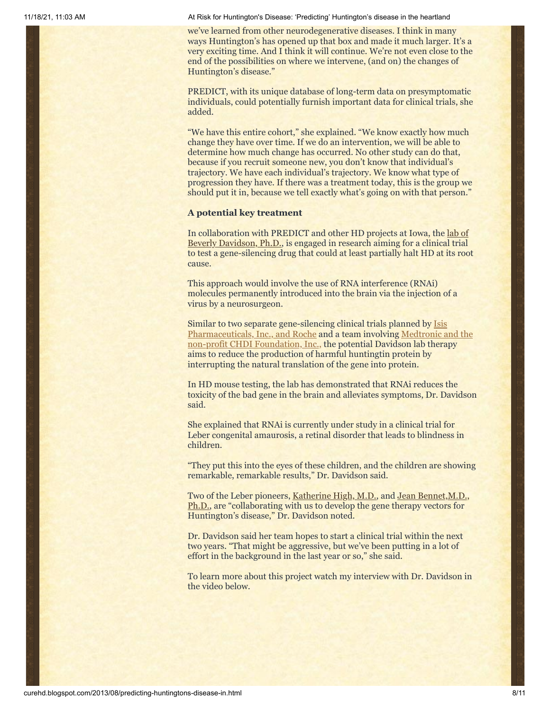we've learned from other neurodegenerative diseases. I think in many ways Huntington's has opened up that box and made it much larger. It's a very exciting time. And I think it will continue. We're not even close to the end of the possibilities on where we intervene, (and on) the changes of Huntington's disease."

PREDICT, with its unique database of long-term data on presymptomatic individuals, could potentially furnish important data for clinical trials, she added.

"We have this entire cohort," she explained. "We know exactly how much change they have over time. If we do an intervention, we will be able to determine how much change has occurred. No other study can do that, because if you recruit someone new, you don't know that individual's trajectory. We have each individual's trajectory. We know what type of progression they have. If there was a treatment today, this is the group we should put it in, because we tell exactly what's going on with that person."

#### **A potential key treatment**

[In collaboration with PREDICT and other HD projects at Iowa,](http://www.healthcare.uiowa.edu/labs/davidson/) the lab of Beverly Davidson, Ph.D., is engaged in research aiming for a clinical trial to test a gene-silencing drug that could at least partially halt HD at its root cause.

This approach would involve the use of RNA interference (RNAi) molecules permanently introduced into the brain via the injection of a virus by a neurosurgeon.

Similar to two separate gene-silencing clinical trials planned by Isis [Pharmaceuticals, Inc., and Roche and a team involving Medtronic](http://curehd.blogspot.com/2013/04/quickening-pace-towards-huntingtons.html) [and the](http://curehd.blogspot.com/2011/05/holding-potential-cure-in-my-hand.html) non-profit CHDI Foundation, Inc., the potential Davidson lab therapy aims to reduce the production of harmful huntingtin protein by interrupting the natural translation of the gene into protein.

In HD mouse testing, the lab has demonstrated that RNAi reduces the toxicity of the bad gene in the brain and alleviates symptoms, Dr. Davidson said.

She explained that RNAi is currently under study in a clinical trial for Leber congenital amaurosis, a retinal disorder that leads to blindness in children.

"They put this into the eyes of these children, and the children are showing remarkable, remarkable results," Dr. Davidson said.

[Two of the Leber pioneers, K](http://www.med.upenn.edu/apps/faculty/index.php/g275/p11214)[atherine High, M.D.](http://www.med.upenn.edu/apps/faculty/index.php/g275/p12112), and Jean Bennet, M.D., Ph.D., are "collaborating with us to develop the gene therapy vectors for Huntington's disease," Dr. Davidson noted.

Dr. Davidson said her team hopes to start a clinical trial within the next two years. "That might be aggressive, but we've been putting in a lot of effort in the background in the last year or so," she said.

To learn more about this project watch my interview with Dr. Davidson in the video below.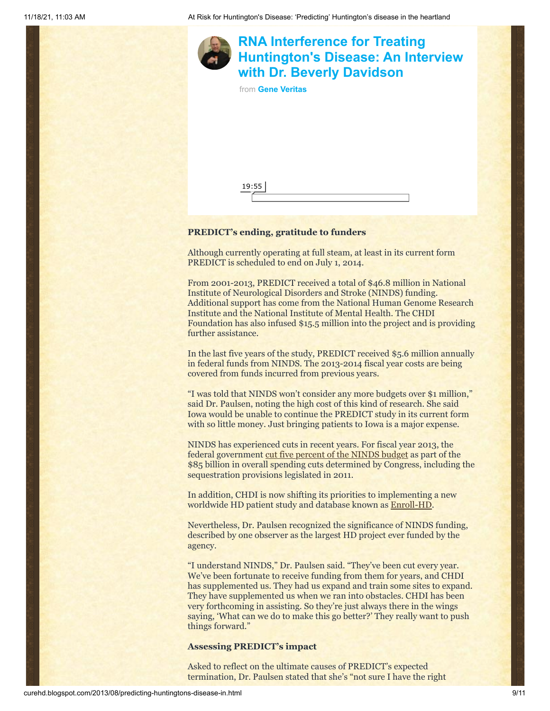

# **PREDICT's ending, gratitude to funders**

Although currently operating at full steam, at least in its current form PREDICT is scheduled to end on July 1, 2014.

From 2001-2013, PREDICT received a total of \$46.8 million in National Institute of Neurological Disorders and Stroke (NINDS) funding. Additional support has come from the National Human Genome Research Institute and the National Institute of Mental Health. The CHDI Foundation has also infused \$15.5 million into the project and is providing further assistance.

In the last five years of the study, PREDICT received \$5.6 million annually in federal funds from NINDS. The 2013-2014 fiscal year costs are being covered from funds incurred from previous years.

"I was told that NINDS won't consider any more budgets over \$1 million," said Dr. Paulsen, noting the high cost of this kind of research. She said Iowa would be unable to continue the PREDICT study in its current form with so little money. Just bringing patients to Iowa is a major expense.

NINDS has experienced cuts in recent years. For fiscal year 2013, the federal government [cut five percent of the NINDS budget](http://www.ninds.nih.gov/funding/ninds_funding_strategy.htm) as part of the \$85 billion in overall spending cuts determined by Congress, including the sequestration provisions legislated in 2011.

In addition, CHDI is now shifting its priorities to implementing a new worldwide HD patient study and database known as [Enroll-HD.](http://www.enroll-hd.org/html/about)

Nevertheless, Dr. Paulsen recognized the significance of NINDS funding, described by one observer as the largest HD project ever funded by the agency.

"I understand NINDS," Dr. Paulsen said. "They've been cut every year. We've been fortunate to receive funding from them for years, and CHDI has supplemented us. They had us expand and train some sites to expand. They have supplemented us when we ran into obstacles. CHDI has been very forthcoming in assisting. So they're just always there in the wings saying, 'What can we do to make this go better?' They really want to push things forward."

### **Assessing PREDICT's impact**

Asked to reflect on the ultimate causes of PREDICT's expected termination, Dr. Paulsen stated that she's "not sure I have the right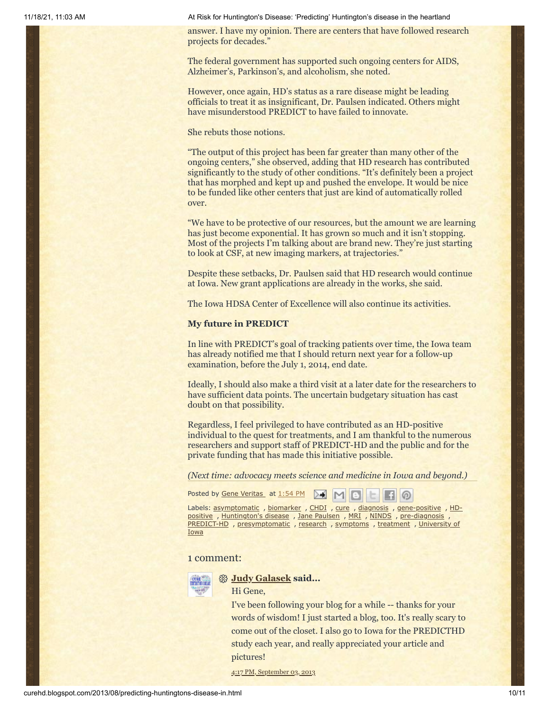answer. I have my opinion. There are centers that have followed research projects for decades."

The federal government has supported such ongoing centers for AIDS, Alzheimer's, Parkinson's, and alcoholism, she noted.

However, once again, HD's status as a rare disease might be leading officials to treat it as insignificant, Dr. Paulsen indicated. Others might have misunderstood PREDICT to have failed to innovate.

She rebuts those notions.

"The output of this project has been far greater than many other of the ongoing centers," she observed, adding that HD research has contributed significantly to the study of other conditions. "It's definitely been a project that has morphed and kept up and pushed the envelope. It would be nice to be funded like other centers that just are kind of automatically rolled over.

"We have to be protective of our resources, but the amount we are learning has just become exponential. It has grown so much and it isn't stopping. Most of the projects I'm talking about are brand new. They're just starting to look at CSF, at new imaging markers, at trajectories."

Despite these setbacks, Dr. Paulsen said that HD research would continue at Iowa. New grant applications are already in the works, she said.

The Iowa HDSA Center of Excellence will also continue its activities.

#### **My future in PREDICT**

In line with PREDICT's goal of tracking patients over time, the Iowa team has already notified me that I should return next year for a follow-up examination, before the July 1, 2014, end date.

Ideally, I should also make a third visit at a later date for the researchers to have sufficient data points. The uncertain budgetary situation has cast doubt on that possibility.

Regardless, I feel privileged to have contributed as an HD-positive individual to the quest for treatments, and I am thankful to the numerous researchers and support staff of PREDICT-HD and the public and for the private funding that has made this initiative possible.

*(Next time: advocacy meets science and medicine in Iowa and beyond.)*

Posted by Gene [Veritas](https://www.blogger.com/profile/03599828959793084715) at [1:54](http://curehd.blogspot.com/2013/08/predicting-huntingtons-disease-in.html) PM ▷ €  $M$  $\circ$ 

Labels: <u>[asymptomati](http://curehd.blogspot.com/search/label/asymptomatic)[c](http://curehd.blogspot.com/search/label/HD-positive)</u>, [biomarker](http://curehd.blogspot.com/search/label/biomarker), [CHDI](http://curehd.blogspot.com/search/label/CHDI), [cure](http://curehd.blogspot.com/search/label/cure), [diagnosis](http://curehd.blogspot.com/search/label/diagnosis), [gene-positive](http://curehd.blogspot.com/search/label/gene-positive), HD-positive , [Huntington's](http://curehd.blogspot.com/search/label/Huntington%27s%20disease) disease , Jane [Paulsen](http://curehd.blogspot.com/search/label/Jane%20Paulsen) , [MRI](http://curehd.blogspot.com/search/label/MRI) , [NINDS](http://curehd.blogspot.com/search/label/NINDS) , [pre-diagnosis](http://curehd.blogspot.com/search/label/pre-diagnosis) , [PREDICT-HD](http://curehd.blogspot.com/search/label/PREDICT-HD) , [presymptomatic](http://curehd.blogspot.com/search/label/presymptomatic) , [research](http://curehd.blogspot.com/search/label/research) , [symptoms](http://curehd.blogspot.com/search/label/symptoms) , [treatment](http://curehd.blogspot.com/search/label/treatment) , University of Iowa

#### 1 comment:



#### **[Judy Galasek](https://www.blogger.com/profile/16614929405928467527) said...**

#### Hi Gene,

I've been following your blog for a while -- thanks for your words of wisdom! I just started a blog, too. It's really scary to come out of the closet. I also go to Iowa for the PREDICTHD study each year, and really appreciated your article and pictures!

4:17 PM, [September](http://curehd.blogspot.com/2013/08/predicting-huntingtons-disease-in.html?showComment=1378250228279#c6809545532796140041) 03, 2013